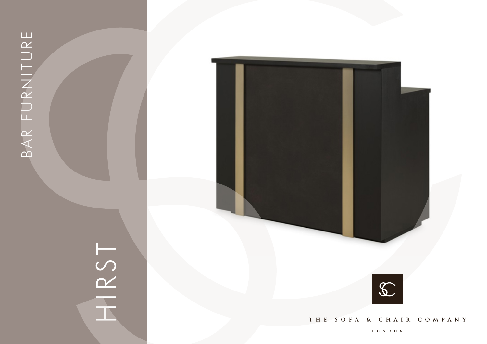# HIRST



THE SOFA & CHAIR COMPANY

LONDON